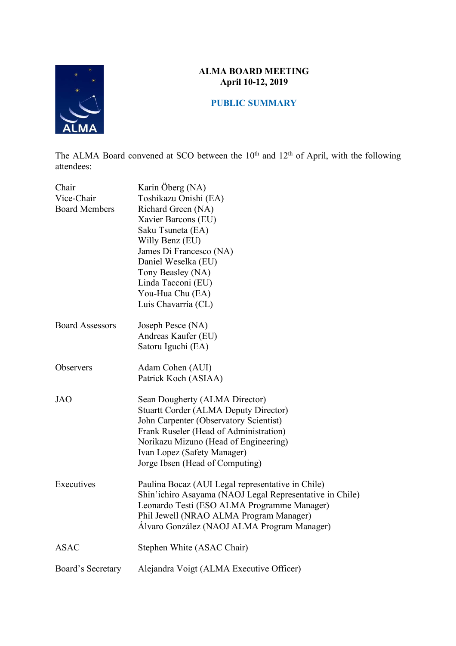

## **ALMA BOARD MEETING April 10-12, 2019**

# **PUBLIC SUMMARY**

The ALMA Board convened at SCO between the 10<sup>th</sup> and 12<sup>th</sup> of April, with the following attendees:

| Chair<br>Vice-Chair<br><b>Board Members</b> | Karin Öberg (NA)<br>Toshikazu Onishi (EA)<br>Richard Green (NA)<br>Xavier Barcons (EU)<br>Saku Tsuneta (EA)<br>Willy Benz (EU)<br>James Di Francesco (NA)<br>Daniel Weselka (EU)<br>Tony Beasley (NA)<br>Linda Tacconi (EU)<br>You-Hua Chu (EA)<br>Luis Chavarría (CL)        |
|---------------------------------------------|-------------------------------------------------------------------------------------------------------------------------------------------------------------------------------------------------------------------------------------------------------------------------------|
| <b>Board Assessors</b>                      | Joseph Pesce (NA)<br>Andreas Kaufer (EU)<br>Satoru Iguchi (EA)                                                                                                                                                                                                                |
| Observers                                   | Adam Cohen (AUI)<br>Patrick Koch (ASIAA)                                                                                                                                                                                                                                      |
| <b>JAO</b>                                  | Sean Dougherty (ALMA Director)<br><b>Stuartt Corder (ALMA Deputy Director)</b><br>John Carpenter (Observatory Scientist)<br>Frank Ruseler (Head of Administration)<br>Norikazu Mizuno (Head of Engineering)<br>Ivan Lopez (Safety Manager)<br>Jorge Ibsen (Head of Computing) |
| Executives                                  | Paulina Bocaz (AUI Legal representative in Chile)<br>Shin'ichiro Asayama (NAOJ Legal Representative in Chile)<br>Leonardo Testi (ESO ALMA Programme Manager)<br>Phil Jewell (NRAO ALMA Program Manager)<br>Álvaro González (NAOJ ALMA Program Manager)                        |
| <b>ASAC</b>                                 | Stephen White (ASAC Chair)                                                                                                                                                                                                                                                    |
| Board's Secretary                           | Alejandra Voigt (ALMA Executive Officer)                                                                                                                                                                                                                                      |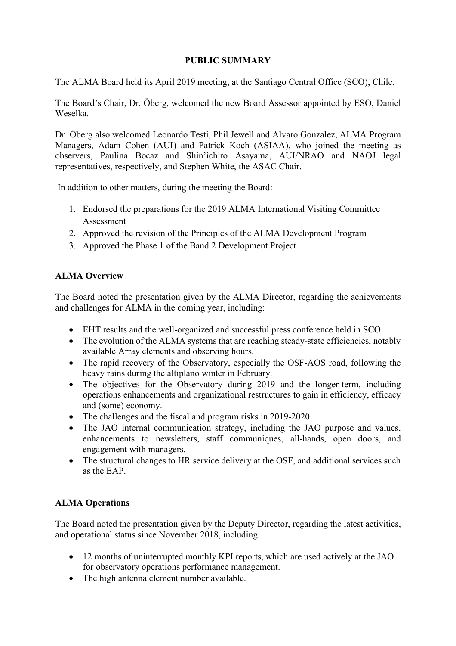## **PUBLIC SUMMARY**

The ALMA Board held its April 2019 meeting, at the Santiago Central Office (SCO), Chile.

The Board's Chair, Dr. Öberg, welcomed the new Board Assessor appointed by ESO, Daniel Weselka.

Dr. Öberg also welcomed Leonardo Testi, Phil Jewell and Alvaro Gonzalez, ALMA Program Managers, Adam Cohen (AUI) and Patrick Koch (ASIAA), who joined the meeting as observers, Paulina Bocaz and Shin'ichiro Asayama, AUI/NRAO and NAOJ legal representatives, respectively, and Stephen White, the ASAC Chair.

In addition to other matters, during the meeting the Board:

- 1. Endorsed the preparations for the 2019 ALMA International Visiting Committee Assessment
- 2. Approved the revision of the Principles of the ALMA Development Program
- 3. Approved the Phase 1 of the Band 2 Development Project

## **ALMA Overview**

The Board noted the presentation given by the ALMA Director, regarding the achievements and challenges for ALMA in the coming year, including:

- EHT results and the well-organized and successful press conference held in SCO.
- The evolution of the ALMA systems that are reaching steady-state efficiencies, notably available Array elements and observing hours.
- The rapid recovery of the Observatory, especially the OSF-AOS road, following the heavy rains during the altiplano winter in February.
- The objectives for the Observatory during 2019 and the longer-term, including operations enhancements and organizational restructures to gain in efficiency, efficacy and (some) economy.
- The challenges and the fiscal and program risks in 2019-2020.
- The JAO internal communication strategy, including the JAO purpose and values, enhancements to newsletters, staff communiques, all-hands, open doors, and engagement with managers.
- The structural changes to HR service delivery at the OSF, and additional services such as the EAP.

### **ALMA Operations**

The Board noted the presentation given by the Deputy Director, regarding the latest activities, and operational status since November 2018, including:

- 12 months of uninterrupted monthly KPI reports, which are used actively at the JAO for observatory operations performance management.
- The high antenna element number available.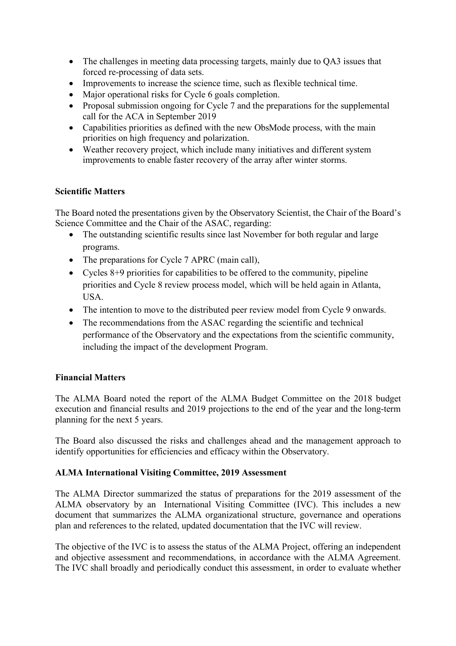- The challenges in meeting data processing targets, mainly due to QA3 issues that forced re-processing of data sets.
- Improvements to increase the science time, such as flexible technical time.
- Major operational risks for Cycle 6 goals completion.
- Proposal submission ongoing for Cycle 7 and the preparations for the supplemental call for the ACA in September 2019
- Capabilities priorities as defined with the new ObsMode process, with the main priorities on high frequency and polarization.
- Weather recovery project, which include many initiatives and different system improvements to enable faster recovery of the array after winter storms.

### **Scientific Matters**

The Board noted the presentations given by the Observatory Scientist, the Chair of the Board's Science Committee and the Chair of the ASAC, regarding:

- The outstanding scientific results since last November for both regular and large programs.
- The preparations for Cycle 7 APRC (main call),
- Cycles 8+9 priorities for capabilities to be offered to the community, pipeline priorities and Cycle 8 review process model, which will be held again in Atlanta, USA.
- The intention to move to the distributed peer review model from Cycle 9 onwards.
- The recommendations from the ASAC regarding the scientific and technical performance of the Observatory and the expectations from the scientific community, including the impact of the development Program.

### **Financial Matters**

The ALMA Board noted the report of the ALMA Budget Committee on the 2018 budget execution and financial results and 2019 projections to the end of the year and the long-term planning for the next 5 years.

The Board also discussed the risks and challenges ahead and the management approach to identify opportunities for efficiencies and efficacy within the Observatory.

### **ALMA International Visiting Committee, 2019 Assessment**

The ALMA Director summarized the status of preparations for the 2019 assessment of the ALMA observatory by an International Visiting Committee (IVC). This includes a new document that summarizes the ALMA organizational structure, governance and operations plan and references to the related, updated documentation that the IVC will review.

The objective of the IVC is to assess the status of the ALMA Project, offering an independent and objective assessment and recommendations, in accordance with the ALMA Agreement. The IVC shall broadly and periodically conduct this assessment, in order to evaluate whether